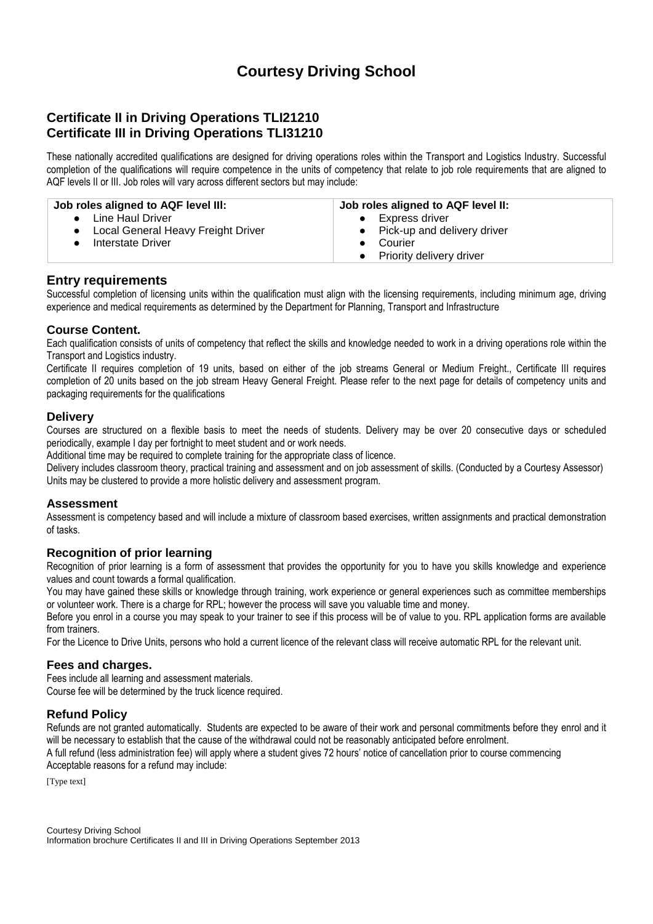# **Courtesy Driving School**

# **Certificate II in Driving Operations TLI21210 Certificate III in Driving Operations TLI31210**

These nationally accredited qualifications are designed for driving operations roles within the Transport and Logistics Industry. Successful completion of the qualifications will require competence in the units of competency that relate to job role requirements that are aligned to AQF levels II or III. Job roles will vary across different sectors but may include:

| Job roles aligned to AQF level III:  | Job roles aligned to AQF level II:    |
|--------------------------------------|---------------------------------------|
| • Line Haul Driver                   | Express driver                        |
| • Local General Heavy Freight Driver | • Pick-up and delivery driver         |
| • Interstate Driver                  | Courier                               |
|                                      | Priority delivery driver<br>$\bullet$ |

## **Entry requirements**

Successful completion of licensing units within the qualification must align with the licensing requirements, including minimum age, driving experience and medical requirements as determined by the Department for Planning, Transport and Infrastructure

### **Course Content.**

Each qualification consists of units of competency that reflect the skills and knowledge needed to work in a driving operations role within the Transport and Logistics industry.

Certificate II requires completion of 19 units, based on either of the job streams General or Medium Freight., Certificate III requires completion of 20 units based on the job stream Heavy General Freight. Please refer to the next page for details of competency units and packaging requirements for the qualifications

#### **Delivery**

Courses are structured on a flexible basis to meet the needs of students. Delivery may be over 20 consecutive days or scheduled periodically, example I day per fortnight to meet student and or work needs.

Additional time may be required to complete training for the appropriate class of licence.

Delivery includes classroom theory, practical training and assessment and on job assessment of skills. (Conducted by a Courtesy Assessor) Units may be clustered to provide a more holistic delivery and assessment program.

#### **Assessment**

Assessment is competency based and will include a mixture of classroom based exercises, written assignments and practical demonstration of tasks.

#### **Recognition of prior learning**

Recognition of prior learning is a form of assessment that provides the opportunity for you to have you skills knowledge and experience values and count towards a formal qualification.

You may have gained these skills or knowledge through training, work experience or general experiences such as committee memberships or volunteer work. There is a charge for RPL; however the process will save you valuable time and money.

Before you enrol in a course you may speak to your trainer to see if this process will be of value to you. RPL application forms are available from trainers.

For the Licence to Drive Units, persons who hold a current licence of the relevant class will receive automatic RPL for the relevant unit.

#### **Fees and charges.**

Fees include all learning and assessment materials. Course fee will be determined by the truck licence required.

#### **Refund Policy**

Refunds are not granted automatically. Students are expected to be aware of their work and personal commitments before they enrol and it will be necessary to establish that the cause of the withdrawal could not be reasonably anticipated before enrolment.

A full refund (less administration fee) will apply where a student gives 72 hours' notice of cancellation prior to course commencing Acceptable reasons for a refund may include:

[Type text]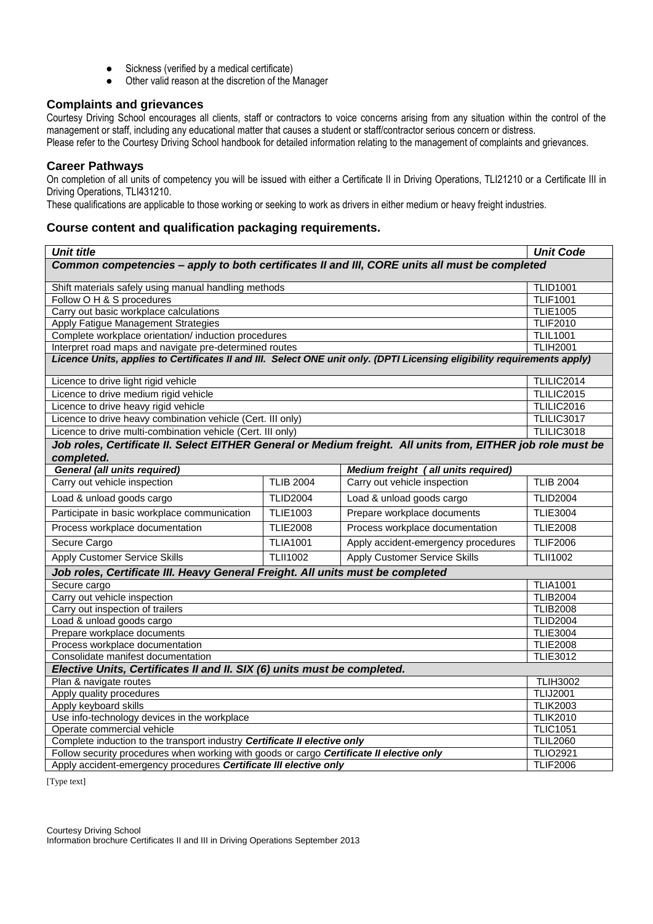- Sickness (verified by a medical certificate)
- Other valid reason at the discretion of the Manager

#### **Complaints and grievances**

Courtesy Driving School encourages all clients, staff or contractors to voice concerns arising from any situation within the control of the management or staff, including any educational matter that causes a student or staff/contractor serious concern or distress. Please refer to the Courtesy Driving School handbook for detailed information relating to the management of complaints and grievances.

#### **Career Pathways**

On completion of all units of competency you will be issued with either a Certificate II in Driving Operations, TLI21210 or a Certificate III in Driving Operations, TLI431210.

These qualifications are applicable to those working or seeking to work as drivers in either medium or heavy freight industries.

#### **Course content and qualification packaging requirements.**

| <b>Unit title</b>                                                                                                        |                                                             |                                      | <b>Unit Code</b>                   |  |
|--------------------------------------------------------------------------------------------------------------------------|-------------------------------------------------------------|--------------------------------------|------------------------------------|--|
| Common competencies - apply to both certificates II and III, CORE units all must be completed                            |                                                             |                                      |                                    |  |
| Shift materials safely using manual handling methods                                                                     |                                                             | <b>TLID1001</b>                      |                                    |  |
| Follow O H & S procedures                                                                                                |                                                             | <b>TLIF1001</b>                      |                                    |  |
| Carry out basic workplace calculations                                                                                   |                                                             |                                      | <b>TLIE1005</b>                    |  |
| Apply Fatigue Management Strategies                                                                                      |                                                             |                                      | <b>TLIF2010</b>                    |  |
| Complete workplace orientation/ induction procedures                                                                     |                                                             |                                      | <b>TLIL1001</b><br><b>TLIH2001</b> |  |
|                                                                                                                          | Interpret road maps and navigate pre-determined routes      |                                      |                                    |  |
| Licence Units, applies to Certificates II and III. Select ONE unit only. (DPTI Licensing eligibility requirements apply) |                                                             |                                      |                                    |  |
| Licence to drive light rigid vehicle                                                                                     |                                                             |                                      |                                    |  |
| Licence to drive medium rigid vehicle                                                                                    |                                                             |                                      | <b>TLILIC2015</b>                  |  |
| Licence to drive heavy rigid vehicle                                                                                     |                                                             |                                      | <b>TLILIC2016</b>                  |  |
| Licence to drive heavy combination vehicle (Cert. III only)                                                              |                                                             |                                      | TLILIC3017                         |  |
|                                                                                                                          | Licence to drive multi-combination vehicle (Cert. III only) |                                      | TLILIC3018                         |  |
| Job roles, Certificate II. Select EITHER General or Medium freight. All units from, EITHER job role must be              |                                                             |                                      |                                    |  |
| completed.                                                                                                               |                                                             |                                      |                                    |  |
| <b>General (all units required)</b>                                                                                      |                                                             | Medium freight (all units required)  |                                    |  |
| Carry out vehicle inspection                                                                                             | <b>TLIB 2004</b>                                            | Carry out vehicle inspection         | <b>TLIB 2004</b>                   |  |
| Load & unload goods cargo                                                                                                | <b>TLID2004</b>                                             | Load & unload goods cargo            | <b>TLID2004</b>                    |  |
| Participate in basic workplace communication                                                                             | <b>TLIE1003</b>                                             | Prepare workplace documents          | <b>TLIE3004</b>                    |  |
| Process workplace documentation                                                                                          | <b>TLIE2008</b>                                             | Process workplace documentation      | <b>TLIE2008</b>                    |  |
| Secure Cargo                                                                                                             | <b>TLIA1001</b>                                             | Apply accident-emergency procedures  | <b>TLIF2006</b>                    |  |
| <b>Apply Customer Service Skills</b>                                                                                     | <b>TLII1002</b>                                             | <b>Apply Customer Service Skills</b> | <b>TLII1002</b>                    |  |
| Job roles, Certificate III. Heavy General Freight. All units must be completed                                           |                                                             |                                      |                                    |  |
| Secure cargo                                                                                                             |                                                             |                                      | <b>TLIA1001</b>                    |  |
| Carry out vehicle inspection                                                                                             |                                                             |                                      | <b>TLIB2004</b>                    |  |
| Carry out inspection of trailers                                                                                         |                                                             |                                      | <b>TLIB2008</b>                    |  |
| Load & unload goods cargo                                                                                                |                                                             |                                      | <b>TLID2004</b>                    |  |
| Prepare workplace documents                                                                                              |                                                             |                                      | <b>TLIE3004</b>                    |  |
| Process workplace documentation                                                                                          |                                                             |                                      | <b>TLIE2008</b>                    |  |
| Consolidate manifest documentation                                                                                       |                                                             |                                      | <b>TLIE3012</b>                    |  |
| Elective Units, Certificates II and II. SIX (6) units must be completed.                                                 |                                                             |                                      |                                    |  |
| Plan & navigate routes                                                                                                   |                                                             |                                      | <b>TLIH3002</b>                    |  |
| Apply quality procedures<br>Apply keyboard skills                                                                        |                                                             |                                      | <b>TLIJ2001</b><br><b>TLIK2003</b> |  |
| Use info-technology devices in the workplace                                                                             |                                                             |                                      | <b>TLIK2010</b>                    |  |
| Operate commercial vehicle                                                                                               |                                                             |                                      | <b>TLIC1051</b>                    |  |
| Complete induction to the transport industry Certificate II elective only                                                |                                                             |                                      | <b>TLIL2060</b>                    |  |
| Follow security procedures when working with goods or cargo Certificate II elective only                                 |                                                             |                                      | <b>TLIO2921</b>                    |  |
| Apply accident-emergency procedures Certificate III elective only                                                        |                                                             |                                      | <b>TLIF2006</b>                    |  |

[Type text]